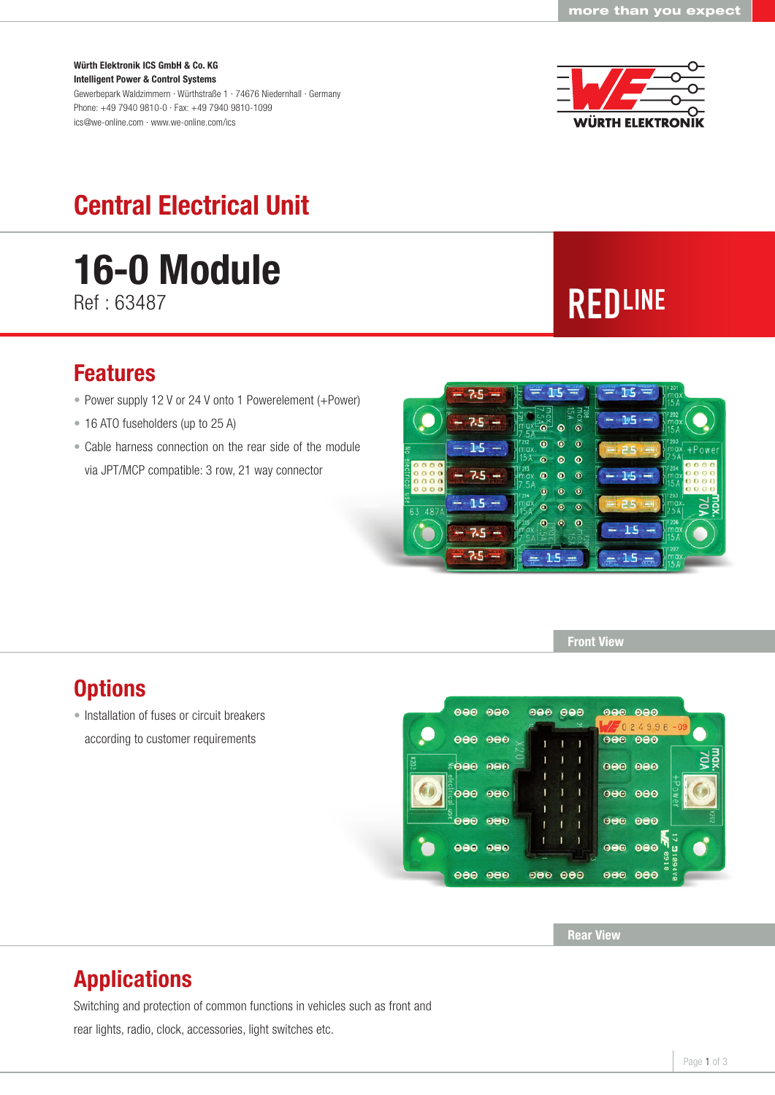#### Würth Elektronik ICS GmbH & Co. KG Intelligent Power & Control Systems

Gewerbepark Waldzimmern · Würthstraße 1 · 74676 Niedernhall · Germany Phone: +49 7940 9810-0 · Fax: +49 7940 9810-1099 ics@we-online.com · www.we-online.com/ics



## Central Electrical Unit

# **16-0 Module** Ref : 63487 **REDLINE**

#### Features

- Power supply 12 V or 24 V onto 1 Powerelement (+Power)
- 16 ATO fuseholders (up to 25 A)
- Cable harness connection on the rear side of the module via JPT/MCP compatible: 3 row, 21 way connector



Front View

#### **Options**

• Installation of fuses or circuit breakers according to customer requirements



Rear View

#### Applications

Switching and protection of common functions in vehicles such as front and

rear lights, radio, clock, accessories, light switches etc.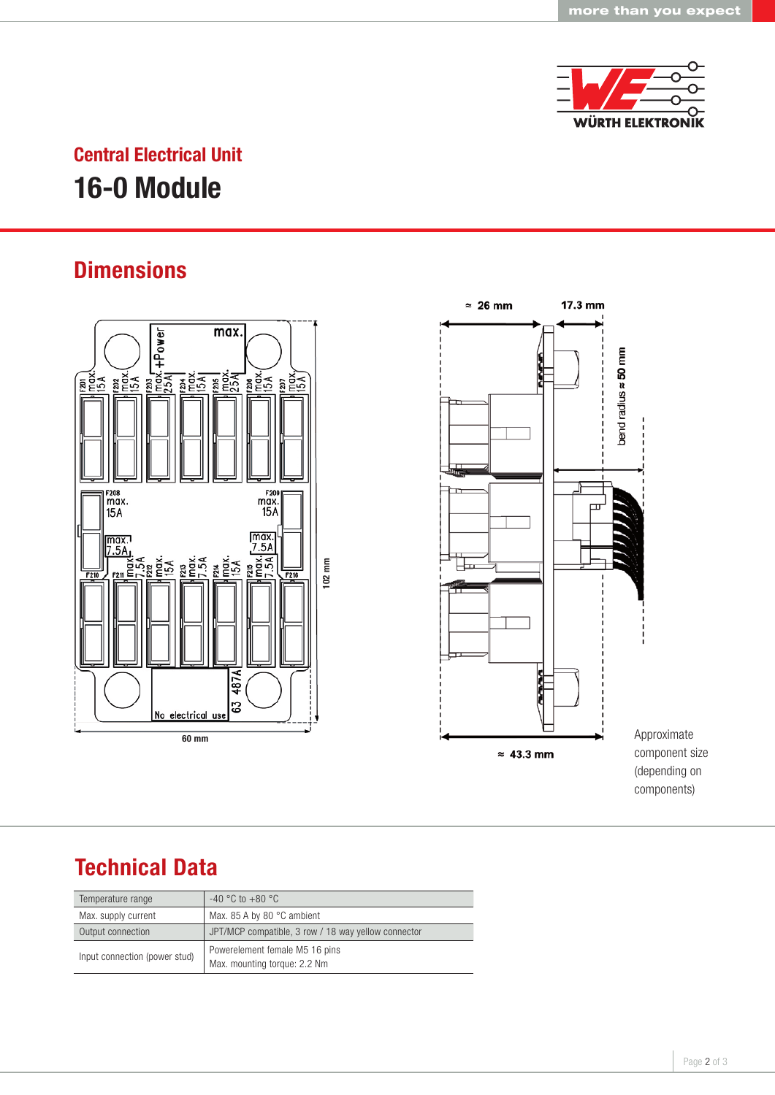

### Central Electrical Unit 16-0 Module

#### **Dimensions**



#### Technical Data

| Temperature range             | $-40$ °C to $+80$ °C                                           |
|-------------------------------|----------------------------------------------------------------|
| Max. supply current           | Max. 85 A by 80 $\degree$ C ambient                            |
| Output connection             | JPT/MCP compatible, 3 row / 18 way yellow connector            |
| Input connection (power stud) | Powerelement female M5 16 pins<br>Max. mounting torque: 2.2 Nm |